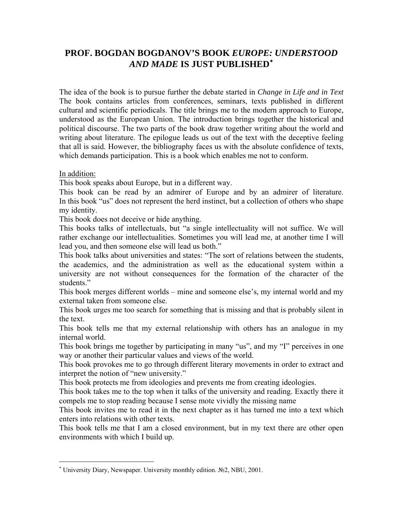## **PROF. BOGDAN BOGDANOV'S BOOK** *EUROPE: UNDERSTOOD AND MADE* **IS JUST PUBLISHED**[∗](#page-0-0)

The idea of the book is to pursue further the debate started in *Change in Life and in Text* The book contains articles from conferences, seminars, texts published in different cultural and scientific periodicals. The title brings me to the modern approach to Europe, understood as the European Union. The introduction brings together the historical and political discourse. The two parts of the book draw together writing about the world and writing about literature. The epilogue leads us out of the text with the deceptive feeling that all is said. However, the bibliography faces us with the absolute confidence of texts, which demands participation. This is a book which enables me not to conform.

In addition:

 $\overline{a}$ 

This book speaks about Europe, but in a different way.

This book can be read by an admirer of Europe and by an admirer of literature. In this book "us" does not represent the herd instinct, but a collection of others who shape my identity.

This book does not deceive or hide anything.

This books talks of intellectuals, but "a single intellectuality will not suffice. We will rather exchange our intellectualities. Sometimes you will lead me, at another time I will lead you, and then someone else will lead us both."

This book talks about universities and states: "The sort of relations between the students, the academics, and the administration as well as the educational system within a university are not without consequences for the formation of the character of the students."

This book merges different worlds – mine and someone else's, my internal world and my external taken from someone else.

This book urges me too search for something that is missing and that is probably silent in the text.

This book tells me that my external relationship with others has an analogue in my internal world.

This book brings me together by participating in many "us", and my "I" perceives in one way or another their particular values and views of the world.

This book provokes me to go through different literary movements in order to extract and interpret the notion of "new university."

This book protects me from ideologies and prevents me from creating ideologies.

This book takes me to the top when it talks of the university and reading. Exactly there it compels me to stop reading because I sense mote vividly the missing name

This book invites me to read it in the next chapter as it has turned me into a text which enters into relations with other texts.

This book tells me that I am a closed environment, but in my text there are other open environments with which I build up.

<span id="page-0-0"></span><sup>∗</sup> University Diary, Newspaper. University monthly edition. №2, NBU, 2001.